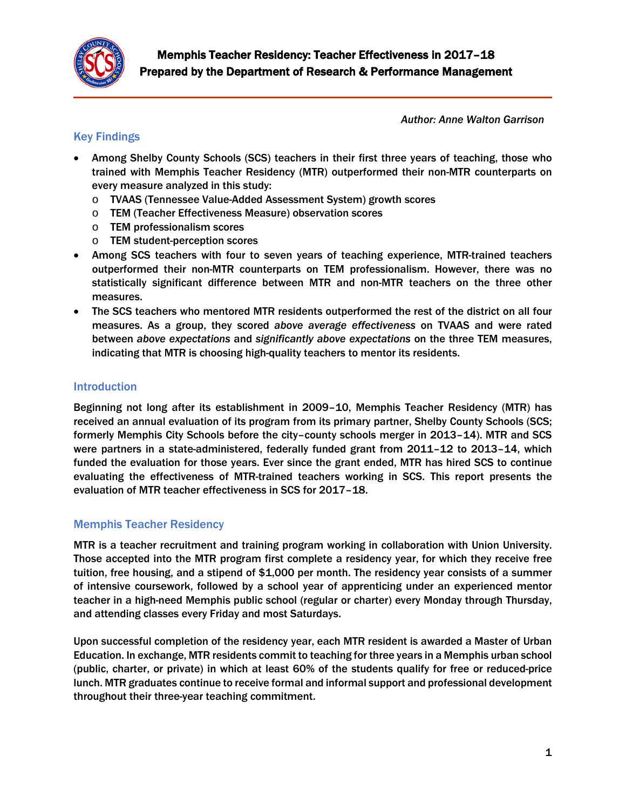

*Author: Anne Walton Garrison*

# Key Findings

- Among Shelby County Schools (SCS) teachers in their first three years of teaching, those who trained with Memphis Teacher Residency (MTR) outperformed their non-MTR counterparts on every measure analyzed in this study:
	- o TVAAS (Tennessee Value-Added Assessment System) growth scores
	- o TEM (Teacher Effectiveness Measure) observation scores
	- o TEM professionalism scores
	- o TEM student-perception scores
- Among SCS teachers with four to seven years of teaching experience, MTR-trained teachers outperformed their non-MTR counterparts on TEM professionalism. However, there was no statistically significant difference between MTR and non-MTR teachers on the three other measures.
- The SCS teachers who mentored MTR residents outperformed the rest of the district on all four measures. As a group, they scored *above average effectiveness* on TVAAS and were rated between *above expectations* and *significantly above expectations* on the three TEM measures, indicating that MTR is choosing high-quality teachers to mentor its residents.

## Introduction

Beginning not long after its establishment in 2009–10, Memphis Teacher Residency (MTR) has received an annual evaluation of its program from its primary partner, Shelby County Schools (SCS; formerly Memphis City Schools before the city–county schools merger in 2013–14). MTR and SCS were partners in a state-administered, federally funded grant from 2011–12 to 2013–14, which funded the evaluation for those years. Ever since the grant ended, MTR has hired SCS to continue evaluating the effectiveness of MTR-trained teachers working in SCS. This report presents the evaluation of MTR teacher effectiveness in SCS for 2017–18.

# Memphis Teacher Residency

MTR is a teacher recruitment and training program working in collaboration with Union University. Those accepted into the MTR program first complete a residency year, for which they receive free tuition, free housing, and a stipend of \$1,000 per month. The residency year consists of a summer of intensive coursework, followed by a school year of apprenticing under an experienced mentor teacher in a high-need Memphis public school (regular or charter) every Monday through Thursday, and attending classes every Friday and most Saturdays.

Upon successful completion of the residency year, each MTR resident is awarded a Master of Urban Education. In exchange, MTR residents commit to teaching for three years in a Memphis urban school (public, charter, or private) in which at least 60% of the students qualify for free or reduced-price lunch. MTR graduates continue to receive formal and informal support and professional development throughout their three-year teaching commitment.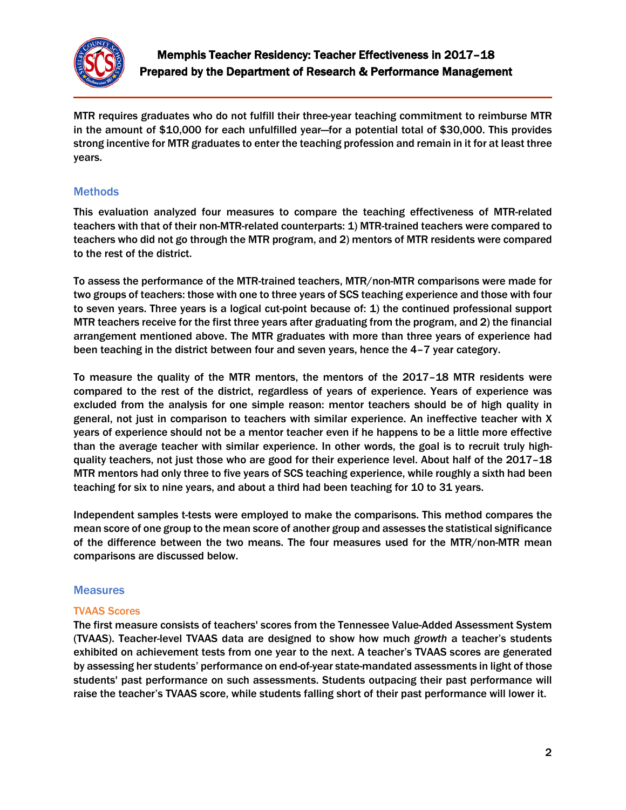

MTR requires graduates who do not fulfill their three-year teaching commitment to reimburse MTR in the amount of \$10,000 for each unfulfilled year—for a potential total of \$30,000. This provides strong incentive for MTR graduates to enter the teaching profession and remain in it for at least three years.

## **Methods**

This evaluation analyzed four measures to compare the teaching effectiveness of MTR-related teachers with that of their non-MTR-related counterparts: 1) MTR-trained teachers were compared to teachers who did not go through the MTR program, and 2) mentors of MTR residents were compared to the rest of the district.

To assess the performance of the MTR-trained teachers, MTR/non-MTR comparisons were made for two groups of teachers: those with one to three years of SCS teaching experience and those with four to seven years. Three years is a logical cut-point because of: 1) the continued professional support MTR teachers receive for the first three years after graduating from the program, and 2) the financial arrangement mentioned above. The MTR graduates with more than three years of experience had been teaching in the district between four and seven years, hence the 4–7 year category.

To measure the quality of the MTR mentors, the mentors of the 2017–18 MTR residents were compared to the rest of the district, regardless of years of experience. Years of experience was excluded from the analysis for one simple reason: mentor teachers should be of high quality in general, not just in comparison to teachers with similar experience. An ineffective teacher with X years of experience should not be a mentor teacher even if he happens to be a little more effective than the average teacher with similar experience. In other words, the goal is to recruit truly highquality teachers, not just those who are good for their experience level. About half of the 2017–18 MTR mentors had only three to five years of SCS teaching experience, while roughly a sixth had been teaching for six to nine years, and about a third had been teaching for 10 to 31 years.

Independent samples t-tests were employed to make the comparisons. This method compares the mean score of one group to the mean score of another group and assesses the statistical significance of the difference between the two means. The four measures used for the MTR/non-MTR mean comparisons are discussed below.

### **Measures**

#### TVAAS Scores

The first measure consists of teachers' scores from the Tennessee Value-Added Assessment System (TVAAS). Teacher-level TVAAS data are designed to show how much *growth* a teacher's students exhibited on achievement tests from one year to the next. A teacher's TVAAS scores are generated by assessing her students' performance on end-of-year state-mandated assessments in light of those students' past performance on such assessments. Students outpacing their past performance will raise the teacher's TVAAS score, while students falling short of their past performance will lower it.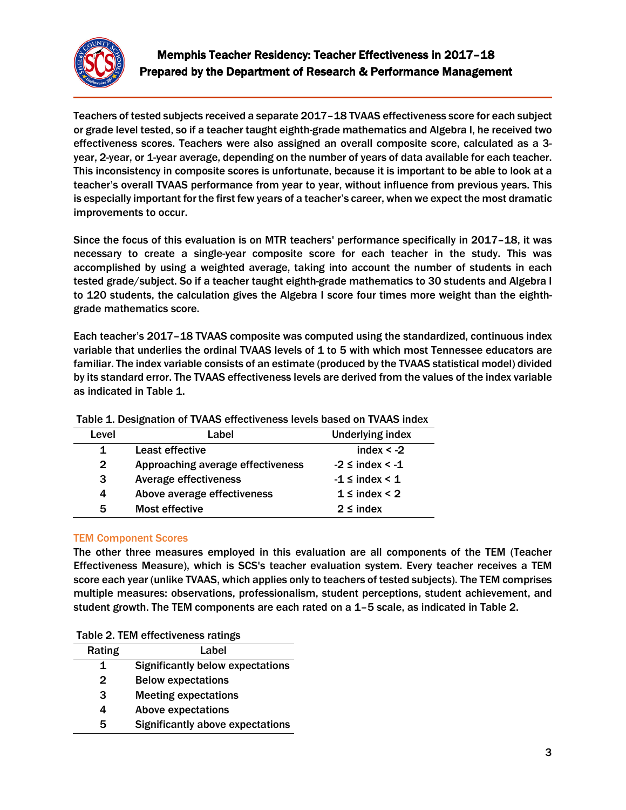

Teachers of tested subjects received a separate 2017–18 TVAAS effectiveness score for each subject or grade level tested, so if a teacher taught eighth-grade mathematics and Algebra I, he received two effectiveness scores. Teachers were also assigned an overall composite score, calculated as a 3 year, 2-year, or 1-year average, depending on the number of years of data available for each teacher. This inconsistency in composite scores is unfortunate, because it is important to be able to look at a teacher's overall TVAAS performance from year to year, without influence from previous years. This is especially important for the first few years of a teacher's career, when we expect the most dramatic improvements to occur.

Since the focus of this evaluation is on MTR teachers' performance specifically in 2017–18, it was necessary to create a single-year composite score for each teacher in the study. This was accomplished by using a weighted average, taking into account the number of students in each tested grade/subject. So if a teacher taught eighth-grade mathematics to 30 students and Algebra I to 120 students, the calculation gives the Algebra I score four times more weight than the eighthgrade mathematics score.

Each teacher's 2017–18 TVAAS composite was computed using the standardized, continuous index variable that underlies the ordinal TVAAS levels of 1 to 5 with which most Tennessee educators are familiar. The index variable consists of an estimate (produced by the TVAAS statistical model) divided by its standard error. The TVAAS effectiveness levels are derived from the values of the index variable as indicated in Table 1.

| Level        | Label                             | <b>Underlying index</b>   |
|--------------|-----------------------------------|---------------------------|
|              | Least effective                   | index $< -2$              |
| $\mathbf{2}$ | Approaching average effectiveness | $-2 \leq$ index $\leq -1$ |
| 3            | <b>Average effectiveness</b>      | $-1 \leq$ index $\leq 1$  |
| 4            | Above average effectiveness       | $1 \leq \text{index} < 2$ |
| 5            | Most effective                    | $2 \leq \text{index}$     |

Table 1. Designation of TVAAS effectiveness levels based on TVAAS index

#### TEM Component Scores

The other three measures employed in this evaluation are all components of the TEM (Teacher Effectiveness Measure), which is SCS's teacher evaluation system. Every teacher receives a TEM score each year (unlike TVAAS, which applies only to teachers of tested subjects). The TEM comprises multiple measures: observations, professionalism, student perceptions, student achievement, and student growth. The TEM components are each rated on a 1–5 scale, as indicated in Table 2.

|  |  | Table 2. TEM effectiveness ratings |  |
|--|--|------------------------------------|--|
|--|--|------------------------------------|--|

| Rating       | Label                                   |
|--------------|-----------------------------------------|
| 1            | <b>Significantly below expectations</b> |
| $\mathbf{2}$ | <b>Below expectations</b>               |
| 3            | <b>Meeting expectations</b>             |
| 4            | <b>Above expectations</b>               |
| 5            | <b>Significantly above expectations</b> |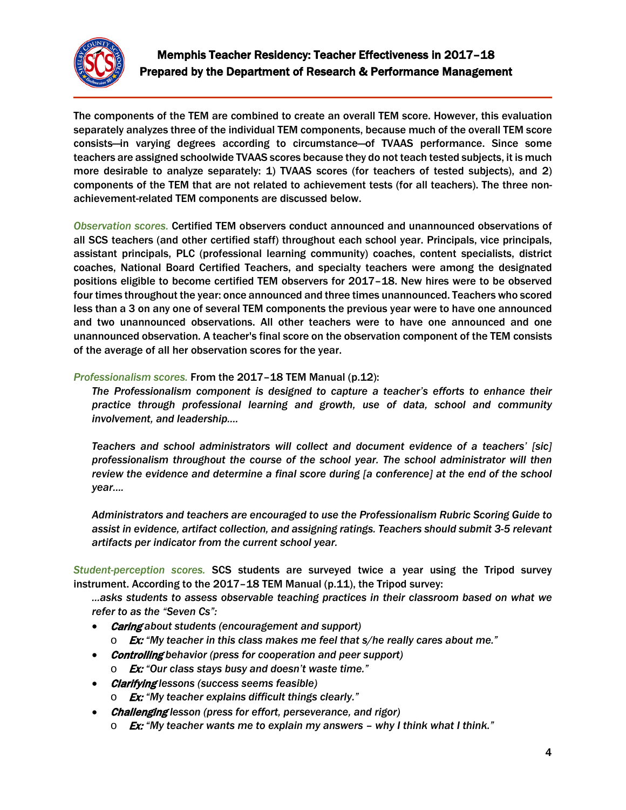

The components of the TEM are combined to create an overall TEM score. However, this evaluation separately analyzes three of the individual TEM components, because much of the overall TEM score consists—in varying degrees according to circumstance—of TVAAS performance. Since some teachers are assigned schoolwide TVAAS scores because they do not teach tested subjects, it is much more desirable to analyze separately: 1) TVAAS scores (for teachers of tested subjects), and 2) components of the TEM that are not related to achievement tests (for all teachers). The three nonachievement-related TEM components are discussed below.

*Observation scores.* Certified TEM observers conduct announced and unannounced observations of all SCS teachers (and other certified staff) throughout each school year. Principals, vice principals, assistant principals, PLC (professional learning community) coaches, content specialists, district coaches, National Board Certified Teachers, and specialty teachers were among the designated positions eligible to become certified TEM observers for 2017–18. New hires were to be observed four times throughout the year: once announced and three times unannounced. Teachers who scored less than a 3 on any one of several TEM components the previous year were to have one announced and two unannounced observations. All other teachers were to have one announced and one unannounced observation. A teacher's final score on the observation component of the TEM consists of the average of all her observation scores for the year.

#### *Professionalism scores.* From the 2017–18 TEM Manual (p.12):

*The Professionalism component is designed to capture a teacher's efforts to enhance their practice through professional learning and growth, use of data, school and community involvement, and leadership….*

*Teachers and school administrators will collect and document evidence of a teachers' [sic] professionalism throughout the course of the school year. The school administrator will then review the evidence and determine a final score during [a conference] at the end of the school year….*

*Administrators and teachers are encouraged to use the Professionalism Rubric Scoring Guide to assist in evidence, artifact collection, and assigning ratings. Teachers should submit 3-5 relevant artifacts per indicator from the current school year.*

*Student-perception scores.* SCS students are surveyed twice a year using the Tripod survey instrument. According to the 2017–18 TEM Manual (p.11), the Tripod survey:

*...asks students to assess observable teaching practices in their classroom based on what we refer to as the "Seven Cs":*

- Caring *about students (encouragement and support)*
	- o Ex: *"My teacher in this class makes me feel that s/he really cares about me."*
- Controlling *behavior (press for cooperation and peer support)*
	- o Ex: *"Our class stays busy and doesn't waste time."*
- Clarifying *lessons (success seems feasible)*
	- o Ex: *"My teacher explains difficult things clearly."*
- Challenging *lesson (press for effort, perseverance, and rigor)*
	- o Ex: *"My teacher wants me to explain my answers – why I think what I think."*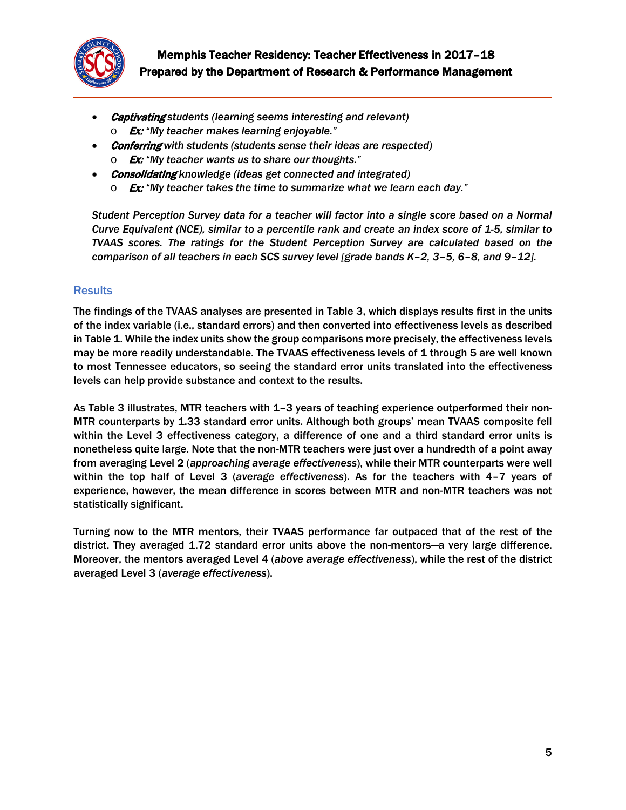

- Captivating *students (learning seems interesting and relevant)* o Ex: *"My teacher makes learning enjoyable."*
- Conferring *with students (students sense their ideas are respected)*
	- o Ex: *"My teacher wants us to share our thoughts."*
- Consolidating *knowledge (ideas get connected and integrated)*
	- o Ex: *"My teacher takes the time to summarize what we learn each day."*

*Student Perception Survey data for a teacher will factor into a single score based on a Normal Curve Equivalent (NCE), similar to a percentile rank and create an index score of 1-5, similar to TVAAS scores. The ratings for the Student Perception Survey are calculated based on the comparison of all teachers in each SCS survey level [grade bands K–2, 3–5, 6–8, and 9–12].*

### **Results**

The findings of the TVAAS analyses are presented in Table 3, which displays results first in the units of the index variable (i.e., standard errors) and then converted into effectiveness levels as described in Table 1. While the index units show the group comparisons more precisely, the effectiveness levels may be more readily understandable. The TVAAS effectiveness levels of 1 through 5 are well known to most Tennessee educators, so seeing the standard error units translated into the effectiveness levels can help provide substance and context to the results.

As Table 3 illustrates, MTR teachers with 1–3 years of teaching experience outperformed their non-MTR counterparts by 1.33 standard error units. Although both groups' mean TVAAS composite fell within the Level 3 effectiveness category, a difference of one and a third standard error units is nonetheless quite large. Note that the non-MTR teachers were just over a hundredth of a point away from averaging Level 2 (*approaching average effectiveness*), while their MTR counterparts were well within the top half of Level 3 (*average effectiveness*). As for the teachers with 4–7 years of experience, however, the mean difference in scores between MTR and non-MTR teachers was not statistically significant.

Turning now to the MTR mentors, their TVAAS performance far outpaced that of the rest of the district. They averaged 1.72 standard error units above the non-mentors—a very large difference. Moreover, the mentors averaged Level 4 (*above average effectiveness*), while the rest of the district averaged Level 3 (*average effectiveness*).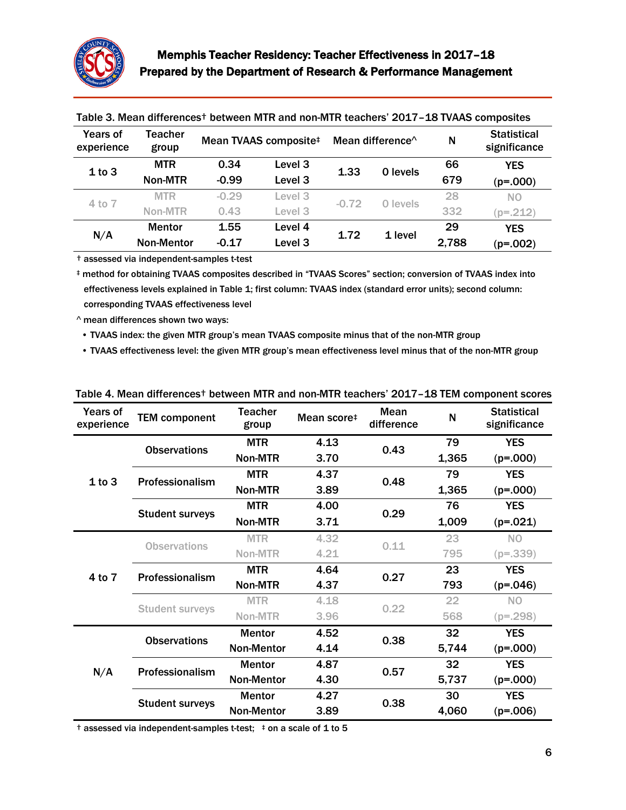

| <b>Years of</b><br>experience | Teacher<br>group  | Mean TVAAS composite# |                    | Mean difference <sup><math>\wedge</math></sup> |  | N        | <b>Statistical</b><br>significance |                |
|-------------------------------|-------------------|-----------------------|--------------------|------------------------------------------------|--|----------|------------------------------------|----------------|
| 1 to 3                        | <b>MTR</b>        | 0.34                  | Level <sub>3</sub> | 1.33                                           |  | 0 levels | 66                                 | <b>YES</b>     |
|                               | Non-MTR           | $-0.99$               | Level <sub>3</sub> |                                                |  | 679      | $(p=.000)$                         |                |
| 4 to 7                        | <b>MTR</b>        | $-0.29$               | Level <sub>3</sub> | $-0.72$                                        |  | 0 levels | 28                                 | N <sub>O</sub> |
|                               | Non-MTR           | 0.43                  | Level 3            |                                                |  | 332      | $(p=.212)$                         |                |
| N/A                           | <b>Mentor</b>     | 1.55                  | Level 4            | 1.72                                           |  | 1 level  | 29                                 | <b>YES</b>     |
|                               | <b>Non-Mentor</b> | $-0.17$               | Level <sub>3</sub> |                                                |  | 2,788    | $(p=.002)$                         |                |

Table 3. Mean differences† between MTR and non-MTR teachers' 2017–18 TVAAS composites

† assessed via independent-samples t-test

‡ method for obtaining TVAAS composites described in "TVAAS Scores" section; conversion of TVAAS index into effectiveness levels explained in Table 1; first column: TVAAS index (standard error units); second column: corresponding TVAAS effectiveness level

^ mean differences shown two ways:

• TVAAS index: the given MTR group's mean TVAAS composite minus that of the non-MTR group

• TVAAS effectiveness level: the given MTR group's mean effectiveness level minus that of the non-MTR group

| Years of<br>experience | <b>TEM component</b>   | <b>Teacher</b><br>group | Mean score <sup>#</sup> | Mean<br>difference | N     | <b>Statistical</b><br>significance |
|------------------------|------------------------|-------------------------|-------------------------|--------------------|-------|------------------------------------|
| 1 to 3                 | <b>Observations</b>    | <b>MTR</b>              | 4.13                    | 0.43               | 79    | <b>YES</b>                         |
|                        |                        | Non-MTR                 | 3.70                    |                    | 1,365 | $(p=.000)$                         |
|                        | Professionalism        | <b>MTR</b>              | 4.37                    | 0.48               | 79    | <b>YES</b>                         |
|                        |                        | Non-MTR                 | 3.89                    |                    | 1,365 | $(p=.000)$                         |
|                        | <b>Student surveys</b> | <b>MTR</b>              | 4.00                    | 0.29               | 76    | <b>YES</b>                         |
|                        |                        | <b>Non-MTR</b>          | 3.71                    |                    | 1,009 | $(p=.021)$                         |
| 4 to 7                 | <b>Observations</b>    | <b>MTR</b>              | 4.32                    | 0.11               | 23    | <b>NO</b>                          |
|                        |                        | Non-MTR                 | 4.21                    |                    | 795   | $(p=.339)$                         |
|                        | Professionalism        | <b>MTR</b>              | 4.64                    | 0.27               | 23    | <b>YES</b>                         |
|                        |                        | Non-MTR                 | 4.37                    |                    | 793   | $(p=.046)$                         |
|                        | <b>Student surveys</b> | <b>MTR</b>              | 4.18                    | 0.22               | 22    | N <sub>O</sub>                     |
|                        |                        | Non-MTR                 | 3.96                    |                    | 568   | $(p=.298)$                         |
| N/A                    | <b>Observations</b>    | <b>Mentor</b>           | 4.52                    | 0.38               | 32    | <b>YES</b>                         |
|                        |                        | <b>Non-Mentor</b>       | 4.14                    |                    | 5,744 | $(p=.000)$                         |
|                        | Professionalism        | <b>Mentor</b>           | 4.87                    | 0.57               | 32    | <b>YES</b>                         |
|                        |                        | <b>Non-Mentor</b>       | 4.30                    |                    | 5,737 | $(p=.000)$                         |
|                        | <b>Student surveys</b> | <b>Mentor</b>           | 4.27                    | 0.38               | 30    | <b>YES</b>                         |
|                        |                        | <b>Non-Mentor</b>       | 3.89                    |                    | 4,060 | $(p=.006)$                         |

Table 4. Mean differences† between MTR and non-MTR teachers' 2017–18 TEM component scores

 $\dagger$  assessed via independent-samples t-test;  $\dagger$  on a scale of 1 to 5